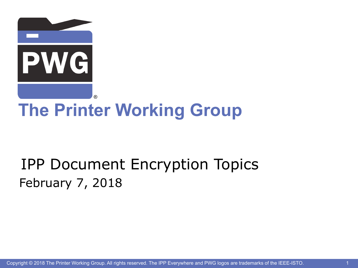

# **The Printer Working Group**

## IPP Document Encryption Topics February 7, 2018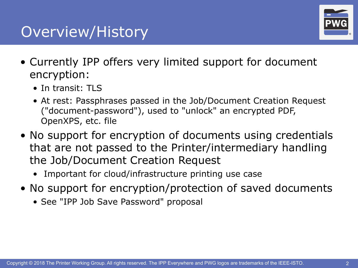### Overview/History



- Currently IPP offers very limited support for document encryption:
	- In transit: TLS
	- At rest: Passphrases passed in the Job/Document Creation Request ("document-password"), used to "unlock" an encrypted PDF, OpenXPS, etc. file
- No support for encryption of documents using credentials that are not passed to the Printer/intermediary handling the Job/Document Creation Request
	- Important for cloud/infrastructure printing use case
- No support for encryption/protection of saved documents
	- See "IPP Job Save Password" proposal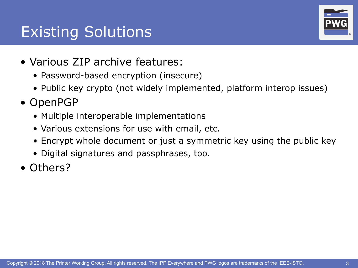## Existing Solutions



- Various ZIP archive features:
	- Password-based encryption (insecure)
	- Public key crypto (not widely implemented, platform interop issues)
- OpenPGP
	- Multiple interoperable implementations
	- Various extensions for use with email, etc.
	- Encrypt whole document or just a symmetric key using the public key
	- Digital signatures and passphrases, too.
- Others?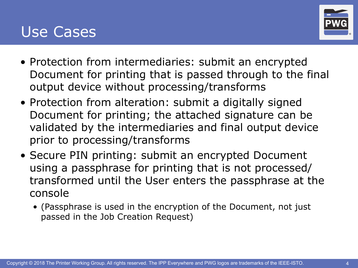#### Use Cases



- Protection from intermediaries: submit an encrypted Document for printing that is passed through to the final output device without processing/transforms
- Protection from alteration: submit a digitally signed Document for printing; the attached signature can be validated by the intermediaries and final output device prior to processing/transforms
- Secure PIN printing: submit an encrypted Document using a passphrase for printing that is not processed/ transformed until the User enters the passphrase at the console
	- (Passphrase is used in the encryption of the Document, not just passed in the Job Creation Request)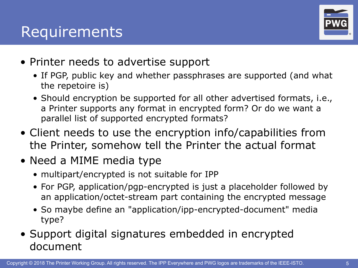

- Printer needs to advertise support
	- If PGP, public key and whether passphrases are supported (and what the repetoire is)
	- Should encryption be supported for all other advertised formats, i.e., a Printer supports any format in encrypted form? Or do we want a parallel list of supported encrypted formats?
- Client needs to use the encryption info/capabilities from the Printer, somehow tell the Printer the actual format
- Need a MIME media type
	- multipart/encrypted is not suitable for IPP
	- For PGP, application/pgp-encrypted is just a placeholder followed by an application/octet-stream part containing the encrypted message
	- So maybe define an "application/ipp-encrypted-document" media type?
- Support digital signatures embedded in encrypted document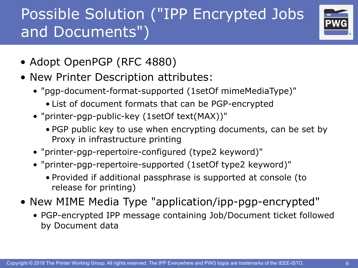# Possible Solution ("IPP Encrypted Jobs and Documents")



- Adopt OpenPGP (RFC 4880)
- New Printer Description attributes:
	- "pgp-document-format-supported (1setOf mimeMediaType)"
		- List of document formats that can be PGP-encrypted
	- "printer-pgp-public-key (1setOf text(MAX))"
		- PGP public key to use when encrypting documents, can be set by Proxy in infrastructure printing
	- "printer-pgp-repertoire-configured (type2 keyword)"
	- "printer-pgp-repertoire-supported (1setOf type2 keyword)"
		- Provided if additional passphrase is supported at console (to release for printing)
- New MIME Media Type "application/ipp-pgp-encrypted"
	- PGP-encrypted IPP message containing Job/Document ticket followed by Document data